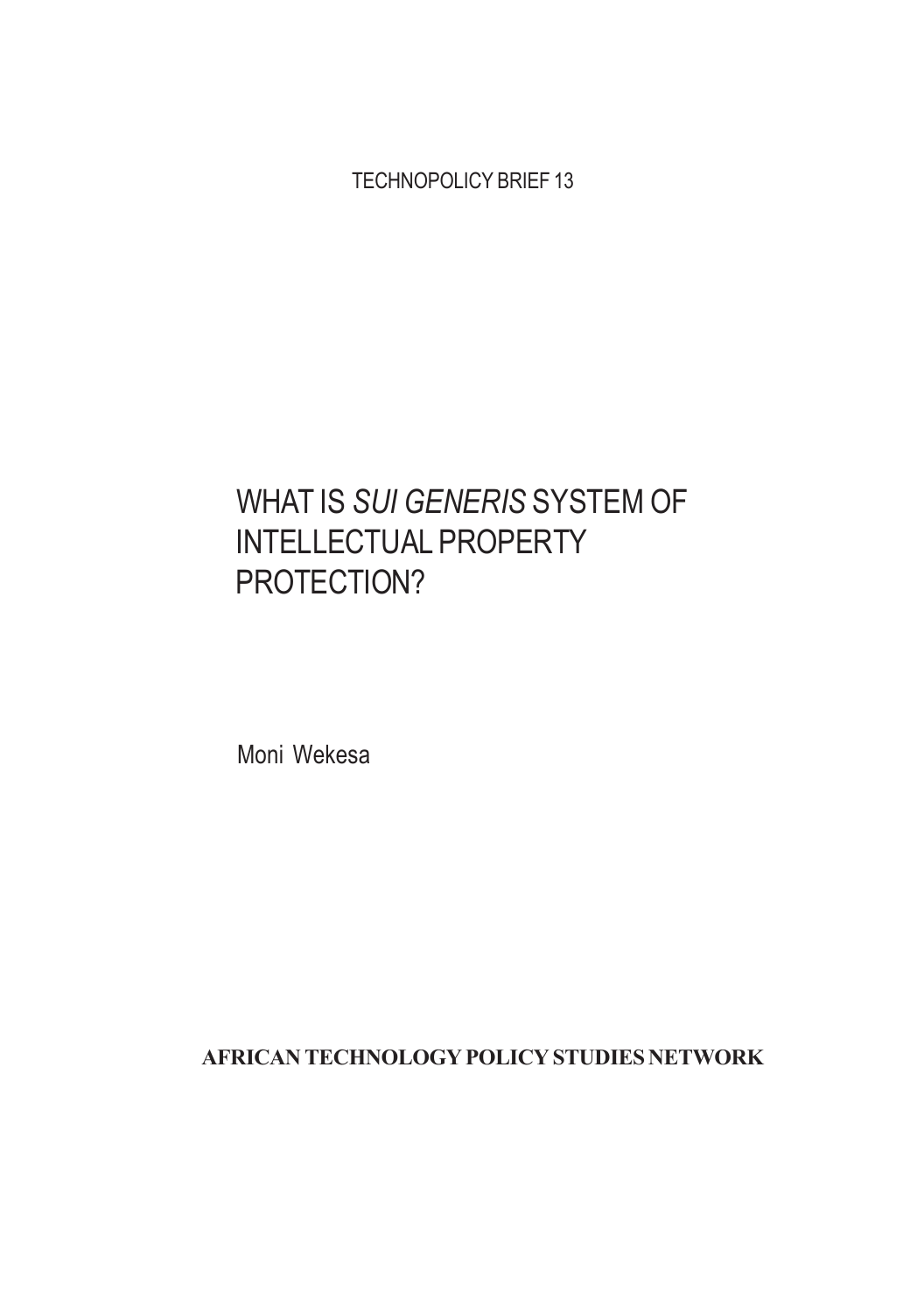TECHNOPOLICY BRIEF 13

# WHAT IS SUI GENERIS SYSTEM OF INTELLECTUAL PROPERTY PROTECTION?

Moni Wekesa

AFRICAN TECHNOLOGY POLICY STUDIES NETWORK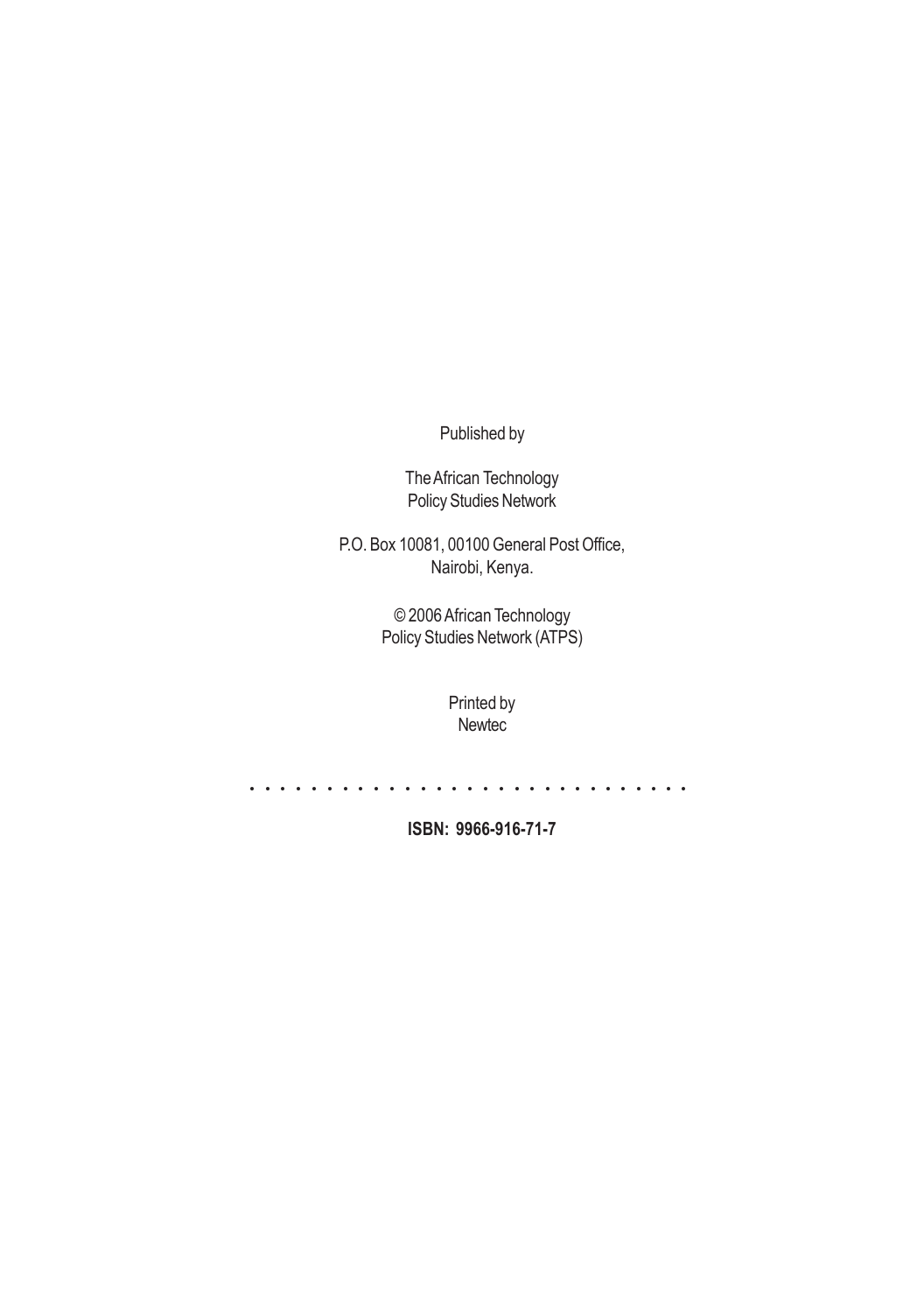Published by

The African Technology Policy Studies Network

P.O. Box 10081, 00100 General Post Office, Nairobi, Kenya.

> © 2006 African Technology Policy Studies Network (ATPS)

> > Printed by Newtec

a a a a a a a a a a a a a a a a a a a a a a a a a a a a a

ISBN: 9966-916-71-7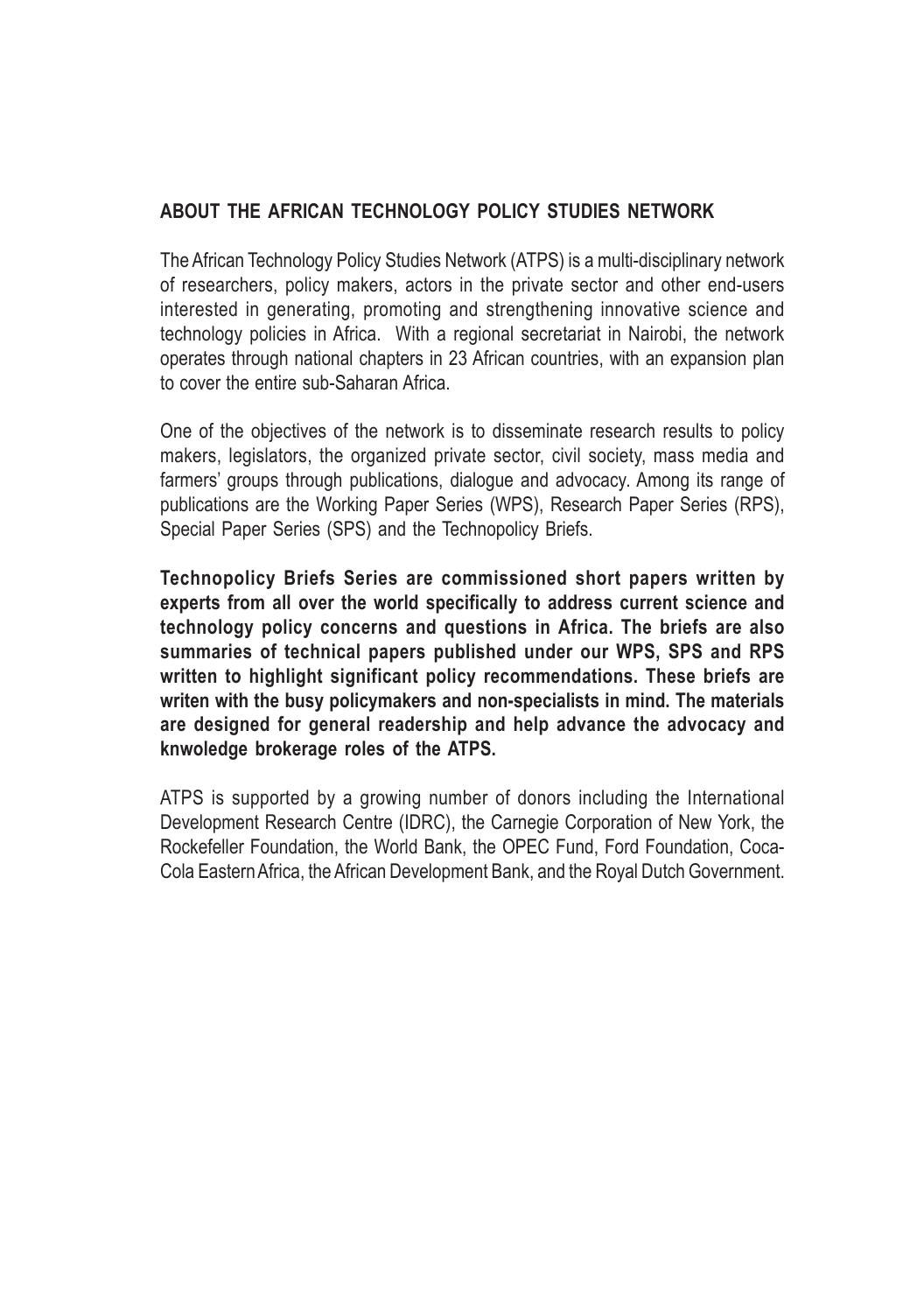#### ABOUT THE AFRICAN TECHNOLOGY POLICY STUDIES NETWORK

The African Technology Policy Studies Network (ATPS) is a multi-disciplinary network of researchers, policy makers, actors in the private sector and other end-users interested in generating, promoting and strengthening innovative science and technology policies in Africa. With a regional secretariat in Nairobi, the network operates through national chapters in 23 African countries, with an expansion plan to cover the entire sub-Saharan Africa.

One of the objectives of the network is to disseminate research results to policy makers, legislators, the organized private sector, civil society, mass media and farmers' groups through publications, dialogue and advocacy. Among its range of publications are the Working Paper Series (WPS), Research Paper Series (RPS), Special Paper Series (SPS) and the Technopolicy Briefs.

Technopolicy Briefs Series are commissioned short papers written by experts from all over the world specifically to address current science and technology policy concerns and questions in Africa. The briefs are also summaries of technical papers published under our WPS, SPS and RPS written to highlight significant policy recommendations. These briefs are writen with the busy policymakers and non-specialists in mind. The materials are designed for general readership and help advance the advocacy and knwoledge brokerage roles of the ATPS.

ATPS is supported by a growing number of donors including the International Development Research Centre (IDRC), the Carnegie Corporation of New York, the Rockefeller Foundation, the World Bank, the OPEC Fund, Ford Foundation, Coca-Cola Eastern Africa, the African Development Bank, and the Royal Dutch Government.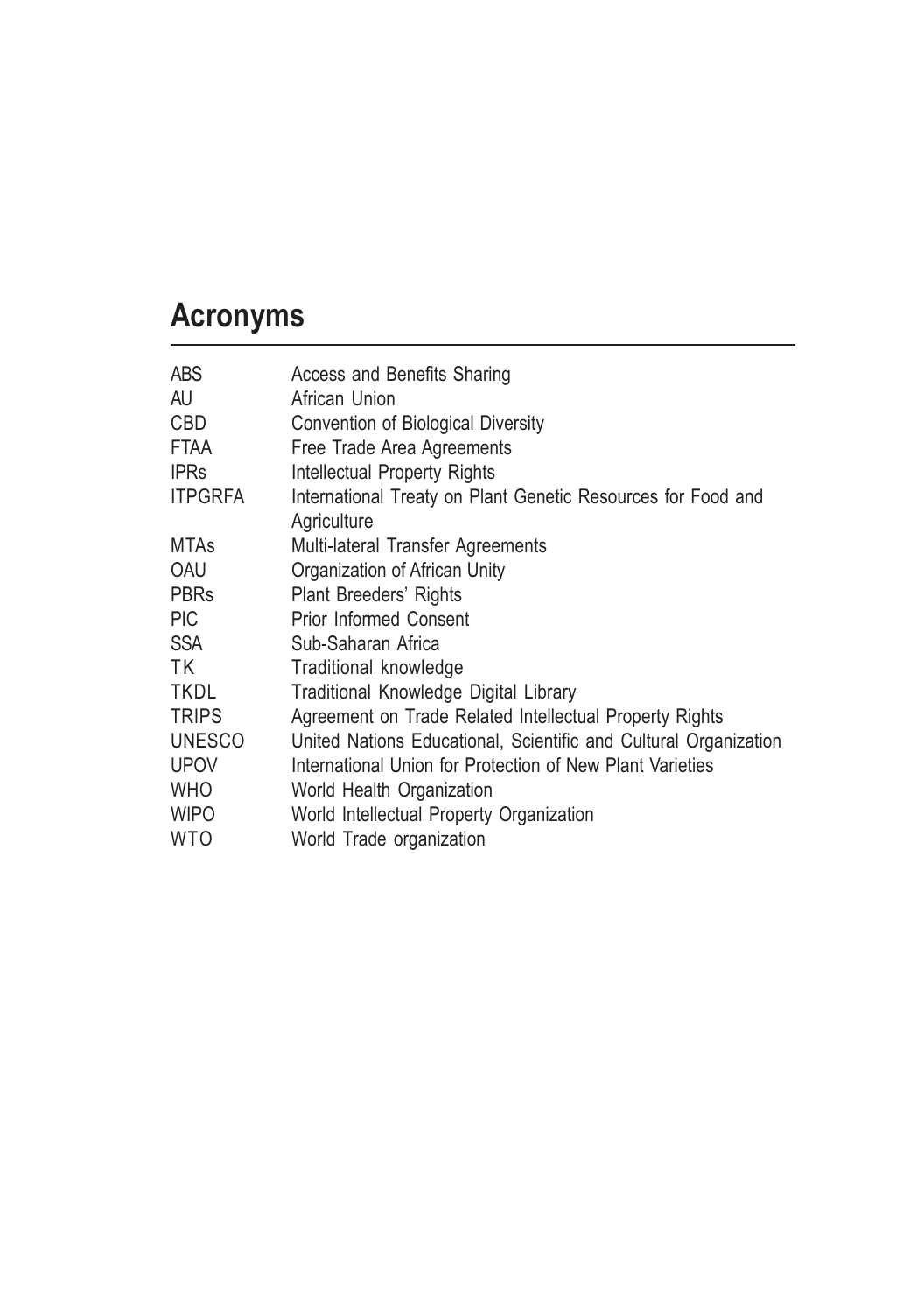# Acronyms

| <b>ABS</b>     | Access and Benefits Sharing                                      |
|----------------|------------------------------------------------------------------|
| AU.            | African Union                                                    |
| <b>CBD</b>     | Convention of Biological Diversity                               |
| <b>FTAA</b>    | Free Trade Area Agreements                                       |
| <b>IPRs</b>    | Intellectual Property Rights                                     |
| <b>ITPGRFA</b> | International Treaty on Plant Genetic Resources for Food and     |
|                | Agriculture                                                      |
| <b>MTAs</b>    | Multi-lateral Transfer Agreements                                |
| OAU            | Organization of African Unity                                    |
| <b>PBRs</b>    | Plant Breeders' Rights                                           |
| <b>PIC</b>     | <b>Prior Informed Consent</b>                                    |
| <b>SSA</b>     | Sub-Saharan Africa                                               |
| TK.            | Traditional knowledge                                            |
| <b>TKDL</b>    | Traditional Knowledge Digital Library                            |
| <b>TRIPS</b>   | Agreement on Trade Related Intellectual Property Rights          |
| <b>UNESCO</b>  | United Nations Educational, Scientific and Cultural Organization |
| <b>UPOV</b>    | International Union for Protection of New Plant Varieties        |
| <b>WHO</b>     | World Health Organization                                        |
| <b>WIPO</b>    | World Intellectual Property Organization                         |
| <b>WTO</b>     | World Trade organization                                         |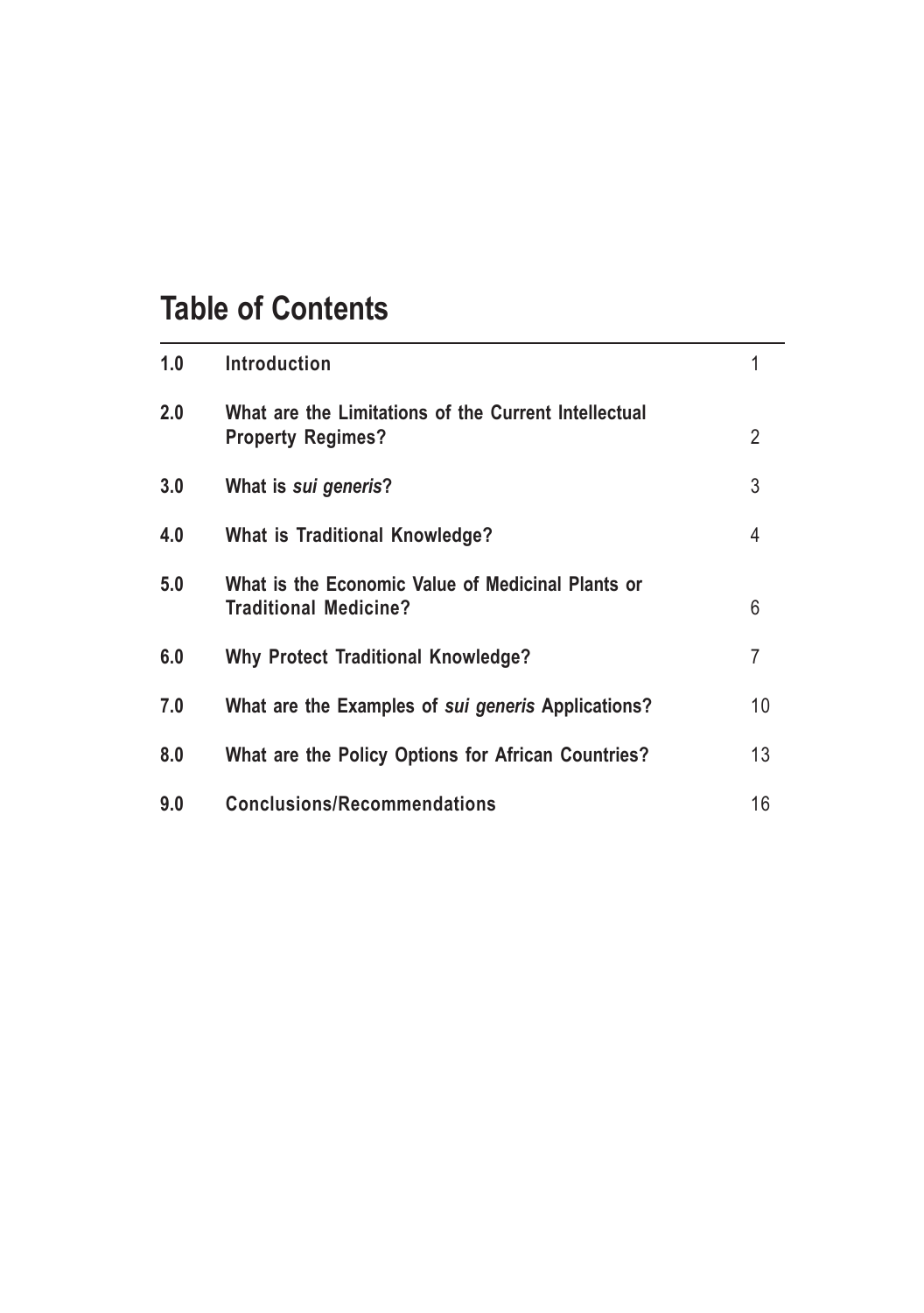# Table of Contents

| 1.0 | Introduction                                                                      |                |
|-----|-----------------------------------------------------------------------------------|----------------|
| 2.0 | What are the Limitations of the Current Intellectual<br><b>Property Regimes?</b>  | $\overline{2}$ |
| 3.0 | What is sui generis?                                                              | 3              |
| 4.0 | <b>What is Traditional Knowledge?</b>                                             | 4              |
| 5.0 | What is the Economic Value of Medicinal Plants or<br><b>Traditional Medicine?</b> | 6              |
| 6.0 | <b>Why Protect Traditional Knowledge?</b>                                         | 7              |
| 7.0 | What are the Examples of sui generis Applications?                                | 10             |
| 8.0 | What are the Policy Options for African Countries?                                | 13             |
| 9.0 | <b>Conclusions/Recommendations</b>                                                | 16             |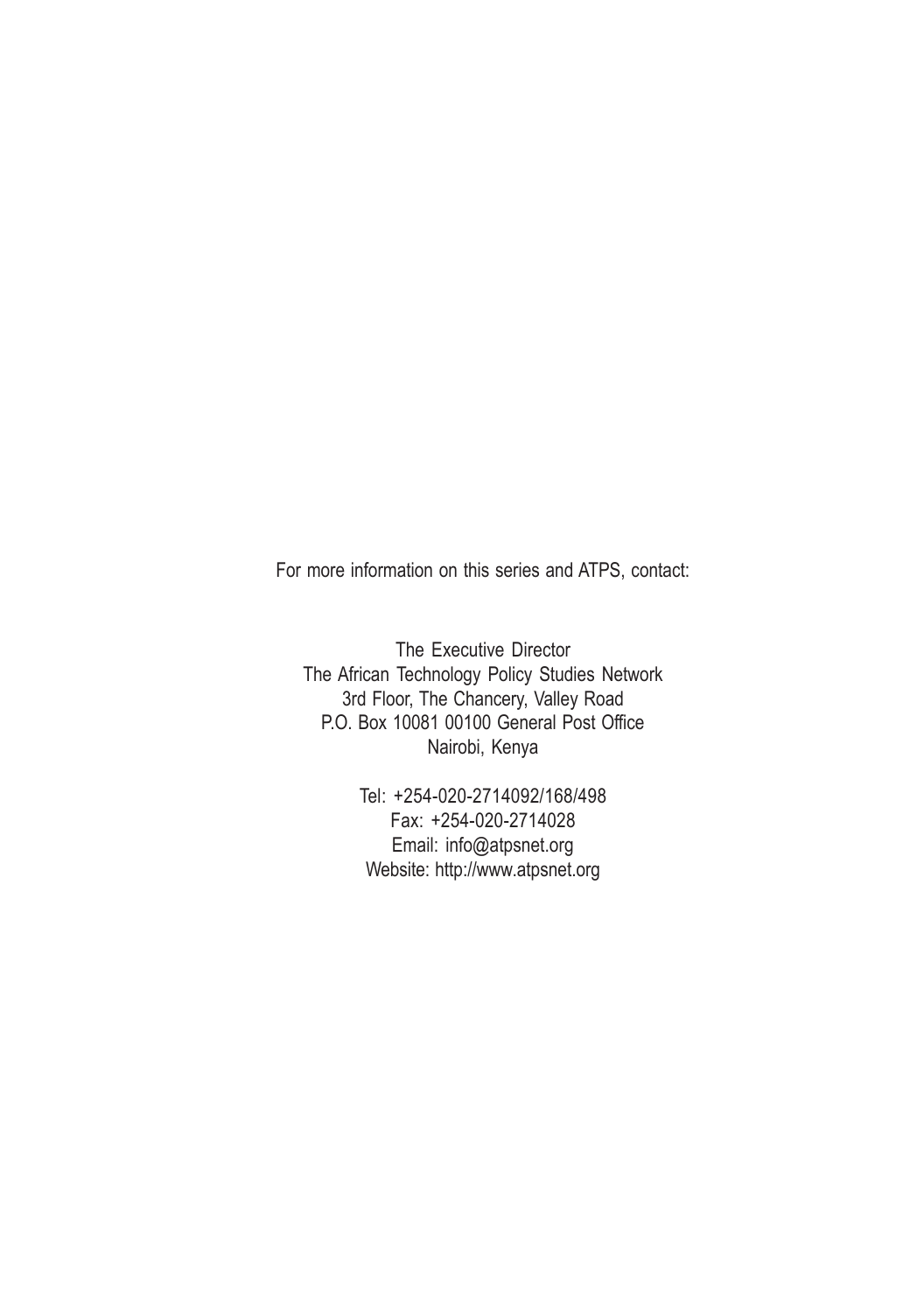For more information on this series and ATPS, contact:

The Executive Director The African Technology Policy Studies Network 3rd Floor, The Chancery, Valley Road P.O. Box 10081 00100 General Post Office Nairobi, Kenya

> Tel: +254-020-2714092/168/498 Fax: +254-020-2714028 Email: info@atpsnet.org Website: http://www.atpsnet.org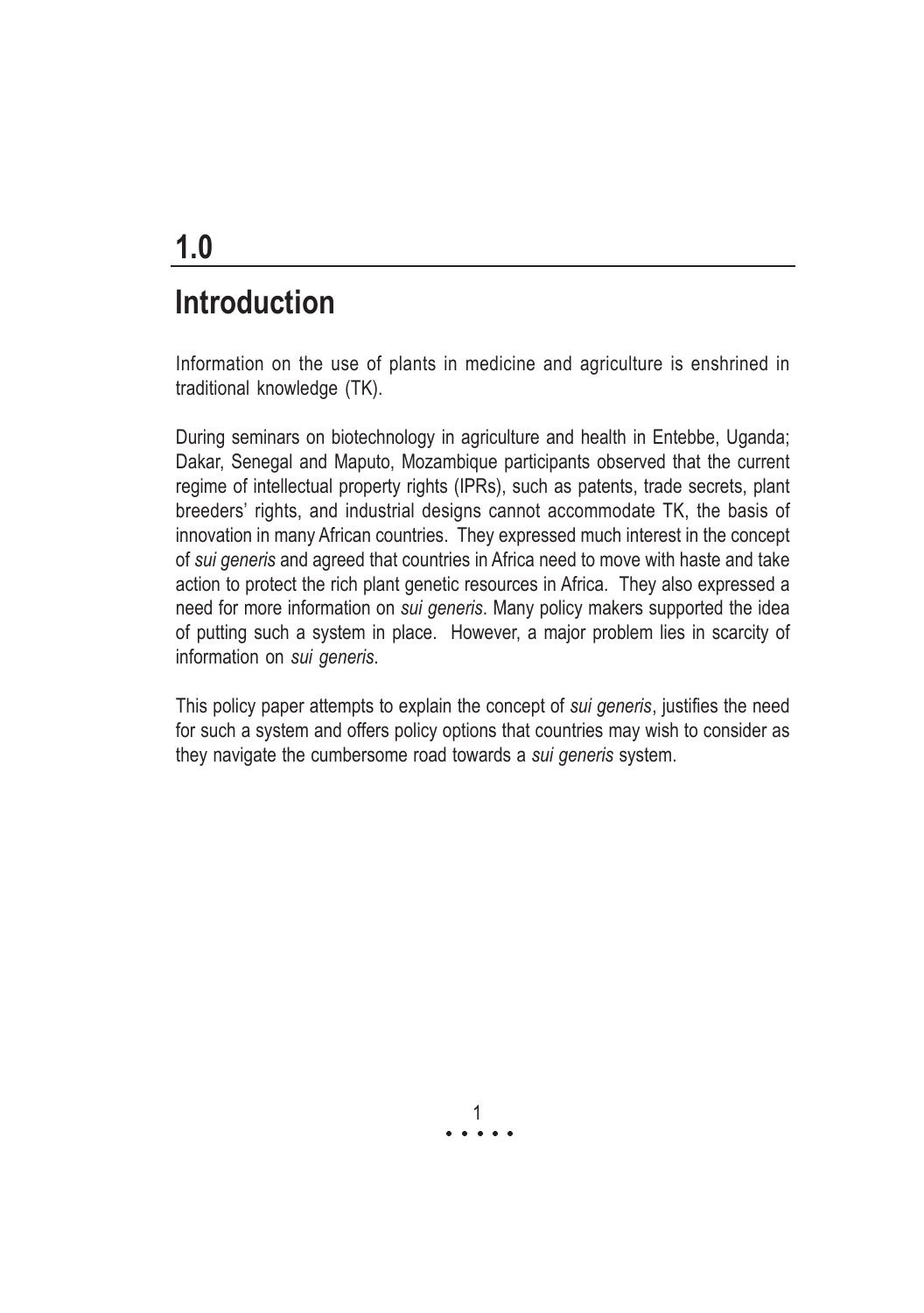# Introduction

Information on the use of plants in medicine and agriculture is enshrined in traditional knowledge (TK).

During seminars on biotechnology in agriculture and health in Entebbe, Uganda; Dakar, Senegal and Maputo, Mozambique participants observed that the current regime of intellectual property rights (IPRs), such as patents, trade secrets, plant breeders' rights, and industrial designs cannot accommodate TK, the basis of innovation in many African countries. They expressed much interest in the concept of sui generis and agreed that countries in Africa need to move with haste and take action to protect the rich plant genetic resources in Africa. They also expressed a need for more information on sui generis. Many policy makers supported the idea of putting such a system in place. However, a major problem lies in scarcity of information on sui generis.

This policy paper attempts to explain the concept of sui generis, justifies the need for such a system and offers policy options that countries may wish to consider as they navigate the cumbersome road towards a sui generis system.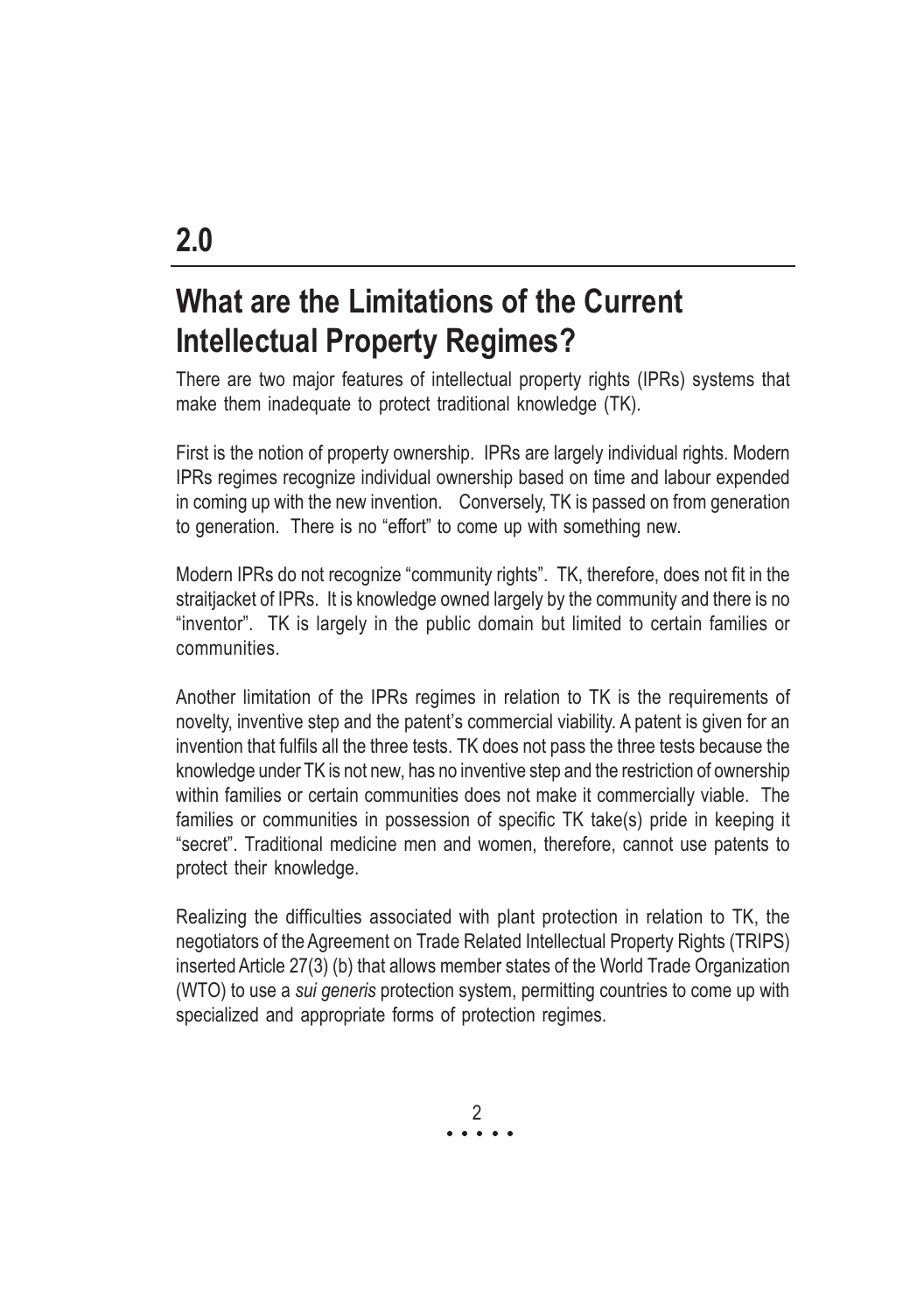# What are the Limitations of the Current Intellectual Property Regimes?

There are two major features of intellectual property rights (IPRs) systems that make them inadequate to protect traditional knowledge (TK).

First is the notion of property ownership. IPRs are largely individual rights. Modern IPRs regimes recognize individual ownership based on time and labour expended in coming up with the new invention. Conversely, TK is passed on from generation to generation. There is no "effort" to come up with something new.

Modern IPRs do not recognize "community rights". TK, therefore, does not fit in the straitjacket of IPRs. It is knowledge owned largely by the community and there is no "inventor". TK is largely in the public domain but limited to certain families or communities.

Another limitation of the IPRs regimes in relation to TK is the requirements of novelty, inventive step and the patent's commercial viability. A patent is given for an invention that fulfils all the three tests. TK does not pass the three tests because the knowledge under TK is not new, has no inventive step and the restriction of ownership within families or certain communities does not make it commercially viable. The families or communities in possession of specific TK take(s) pride in keeping it "secret". Traditional medicine men and women, therefore, cannot use patents to protect their knowledge.

Realizing the difficulties associated with plant protection in relation to TK, the negotiators of the Agreement on Trade Related Intellectual Property Rights (TRIPS) inserted Article 27(3) (b) that allows member states of the World Trade Organization (WTO) to use a sui generis protection system, permitting countries to come up with specialized and appropriate forms of protection regimes.

> a a a a a 2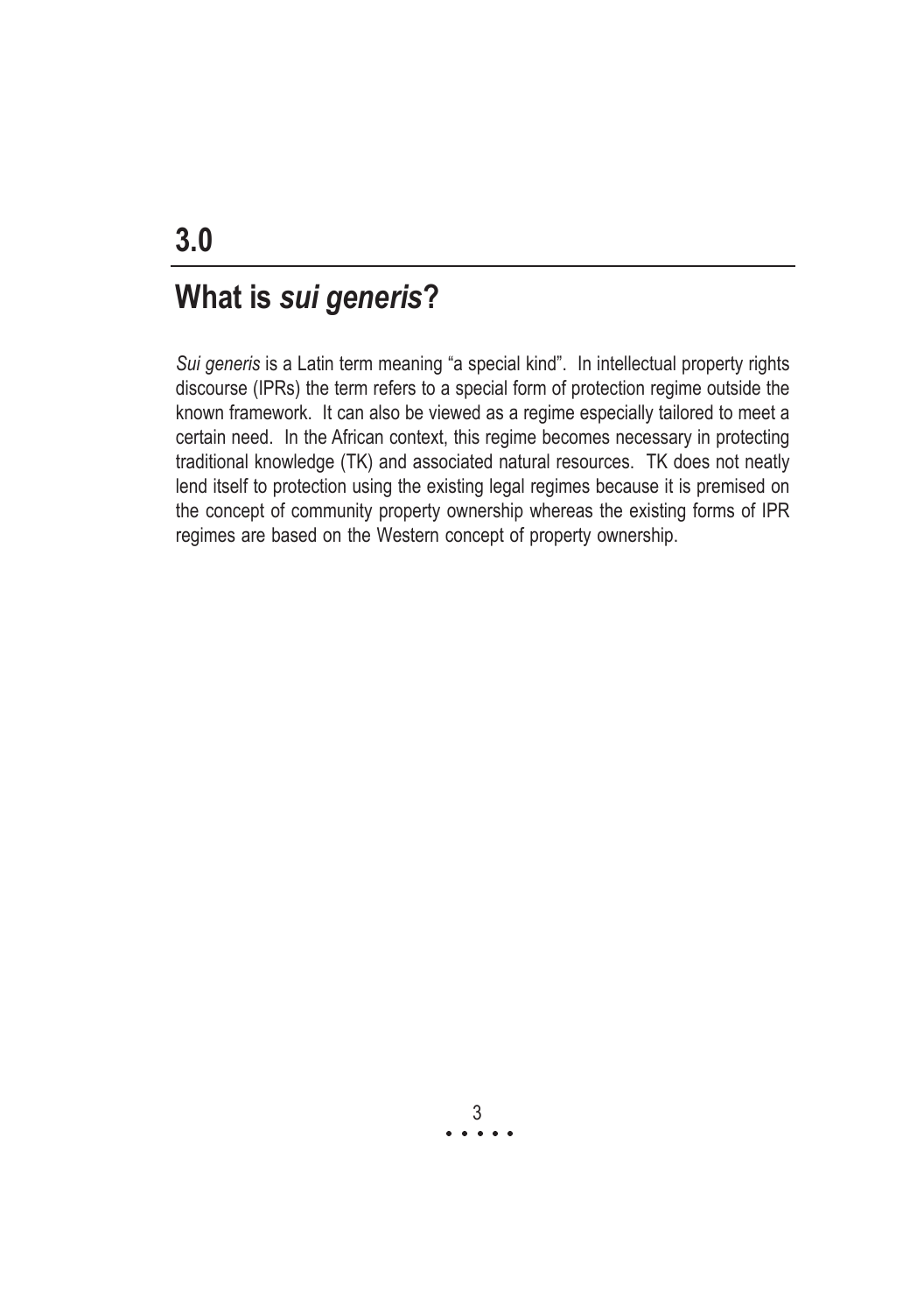### What is sui generis?

Sui generis is a Latin term meaning "a special kind". In intellectual property rights discourse (IPRs) the term refers to a special form of protection regime outside the known framework. It can also be viewed as a regime especially tailored to meet a certain need. In the African context, this regime becomes necessary in protecting traditional knowledge (TK) and associated natural resources. TK does not neatly lend itself to protection using the existing legal regimes because it is premised on the concept of community property ownership whereas the existing forms of IPR regimes are based on the Western concept of property ownership.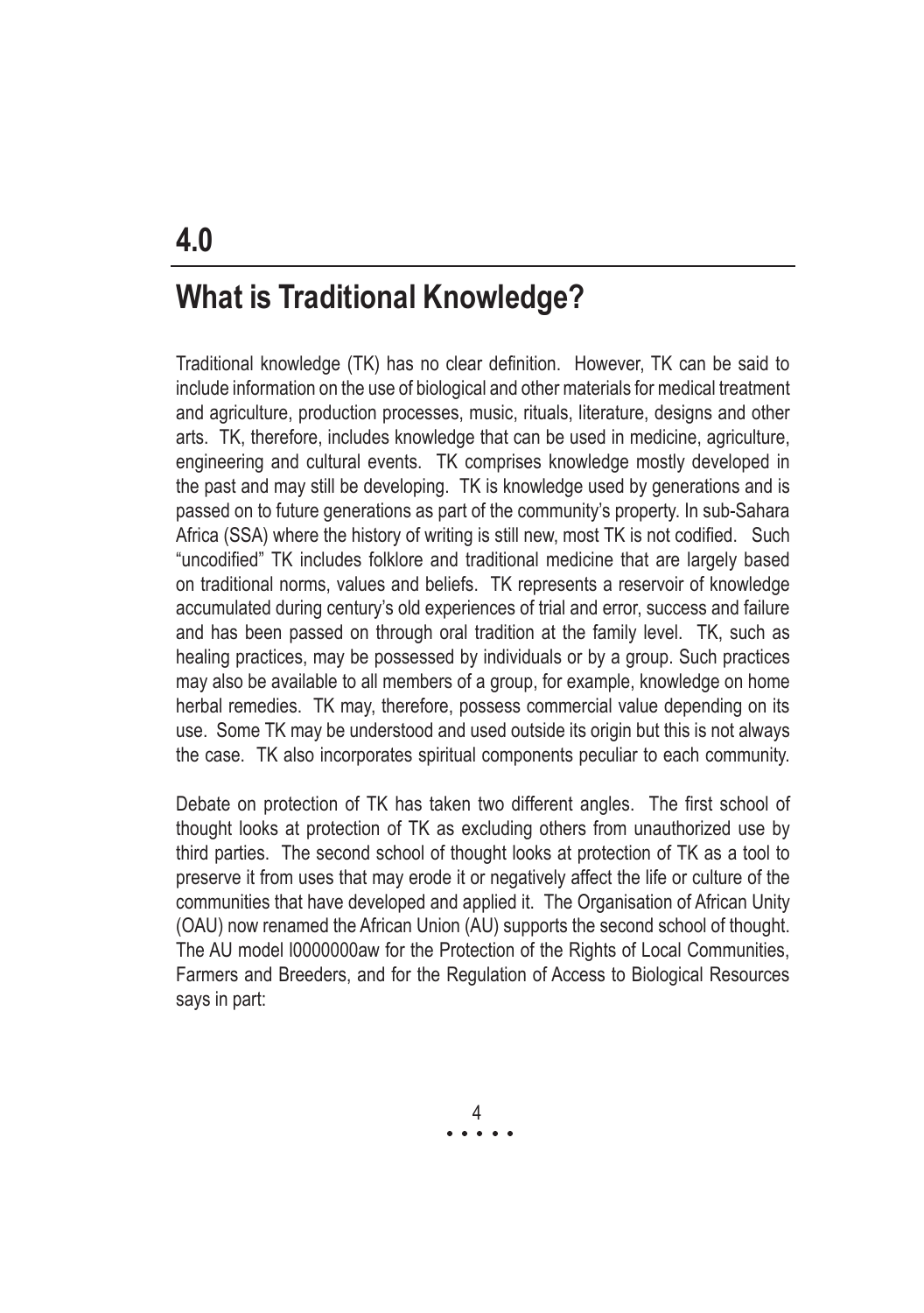### What is Traditional Knowledge?

Traditional knowledge (TK) has no clear definition. However, TK can be said to include information on the use of biological and other materials for medical treatment and agriculture, production processes, music, rituals, literature, designs and other arts. TK, therefore, includes knowledge that can be used in medicine, agriculture, engineering and cultural events. TK comprises knowledge mostly developed in the past and may still be developing. TK is knowledge used by generations and is passed on to future generations as part of the community's property. In sub-Sahara Africa (SSA) where the history of writing is still new, most TK is not codified. Such "uncodified" TK includes folklore and traditional medicine that are largely based on traditional norms, values and beliefs. TK represents a reservoir of knowledge accumulated during century's old experiences of trial and error, success and failure and has been passed on through oral tradition at the family level. TK, such as healing practices, may be possessed by individuals or by a group. Such practices may also be available to all members of a group, for example, knowledge on home herbal remedies. TK may, therefore, possess commercial value depending on its use. Some TK may be understood and used outside its origin but this is not always the case. TK also incorporates spiritual components peculiar to each community.

Debate on protection of TK has taken two different angles. The first school of thought looks at protection of TK as excluding others from unauthorized use by third parties. The second school of thought looks at protection of TK as a tool to preserve it from uses that may erode it or negatively affect the life or culture of the communities that have developed and applied it. The Organisation of African Unity (OAU) now renamed the African Union (AU) supports the second school of thought. The AU model l0000000aw for the Protection of the Rights of Local Communities, Farmers and Breeders, and for the Regulation of Access to Biological Resources says in part:

> a a a a a 4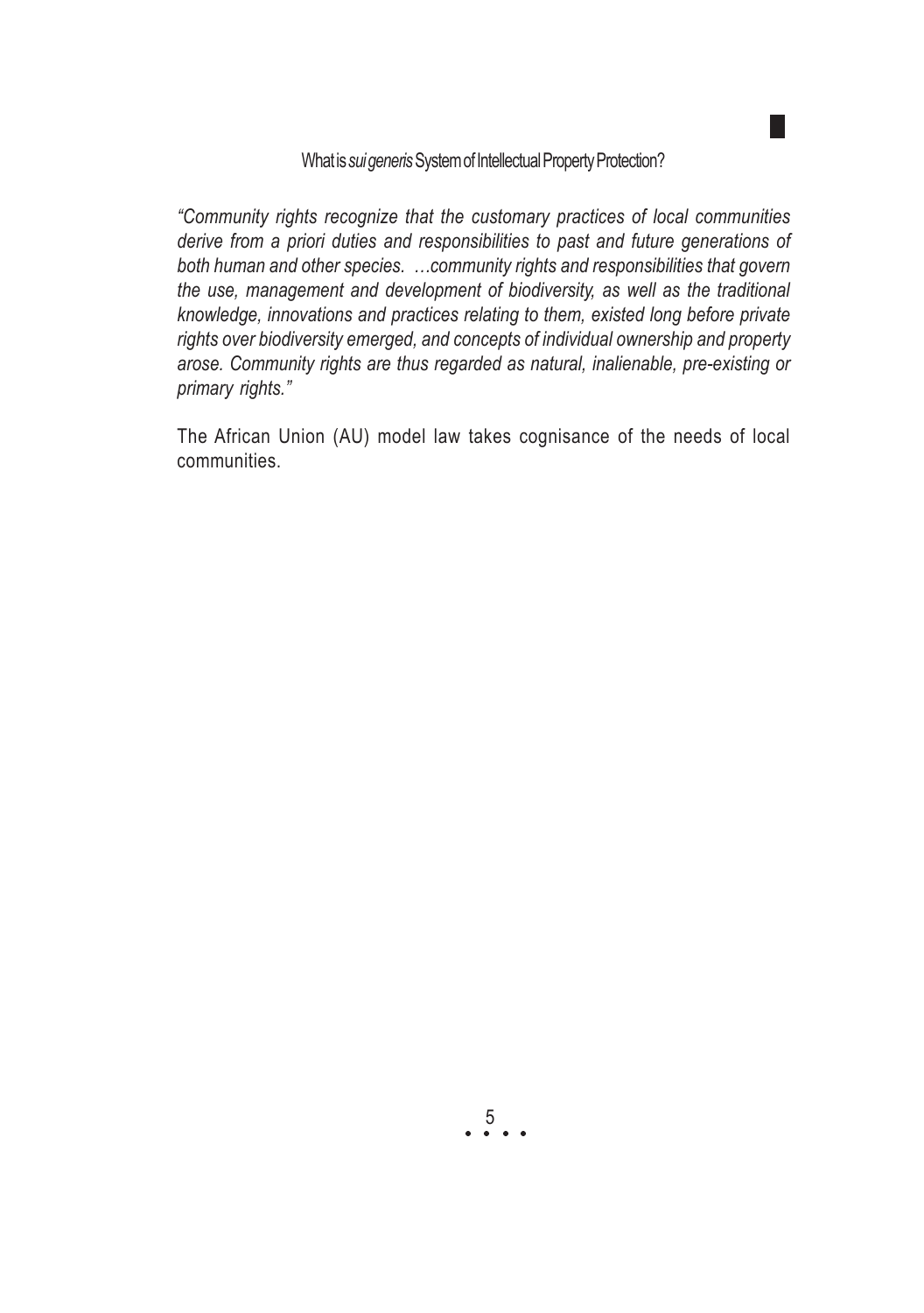#### What is sui generis System of Intellectual Property Protection?

"Community rights recognize that the customary practices of local communities derive from a priori duties and responsibilities to past and future generations of both human and other species. ...community rights and responsibilities that govern the use, management and development of biodiversity, as well as the traditional knowledge, innovations and practices relating to them, existed long before private rights over biodiversity emerged, and concepts of individual ownership and property arose. Community rights are thus regarded as natural, inalienable, pre-existing or primary rights."

The African Union (AU) model law takes cognisance of the needs of local communities.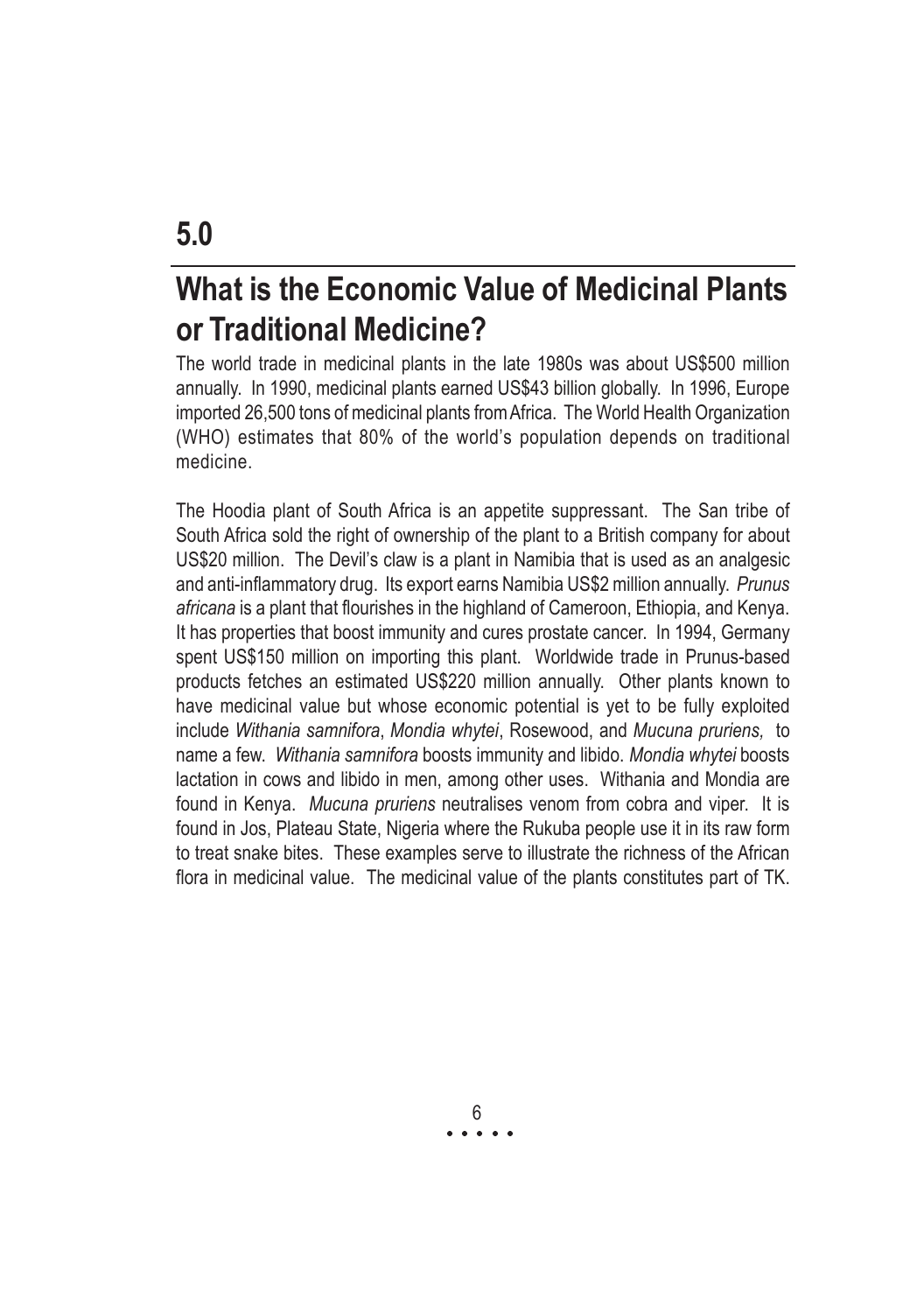# What is the Economic Value of Medicinal Plants or Traditional Medicine?

The world trade in medicinal plants in the late 1980s was about US\$500 million annually. In 1990, medicinal plants earned US\$43 billion globally. In 1996, Europe imported 26,500 tons of medicinal plants from Africa. The World Health Organization (WHO) estimates that 80% of the world's population depends on traditional medicine.

The Hoodia plant of South Africa is an appetite suppressant. The San tribe of South Africa sold the right of ownership of the plant to a British company for about US\$20 million. The Devil's claw is a plant in Namibia that is used as an analgesic and anti-inflammatory drug. Its export earns Namibia US\$2 million annually. Prunus africana is a plant that flourishes in the highland of Cameroon, Ethiopia, and Kenya. It has properties that boost immunity and cures prostate cancer. In 1994, Germany spent US\$150 million on importing this plant. Worldwide trade in Prunus-based products fetches an estimated US\$220 million annually. Other plants known to have medicinal value but whose economic potential is yet to be fully exploited include Withania samnifora, Mondia whytei, Rosewood, and Mucuna pruriens, to name a few. Withania samnifora boosts immunity and libido. Mondia whytei boosts lactation in cows and libido in men, among other uses. Withania and Mondia are found in Kenya. Mucuna pruriens neutralises venom from cobra and viper. It is found in Jos, Plateau State, Nigeria where the Rukuba people use it in its raw form to treat snake bites. These examples serve to illustrate the richness of the African flora in medicinal value. The medicinal value of the plants constitutes part of TK.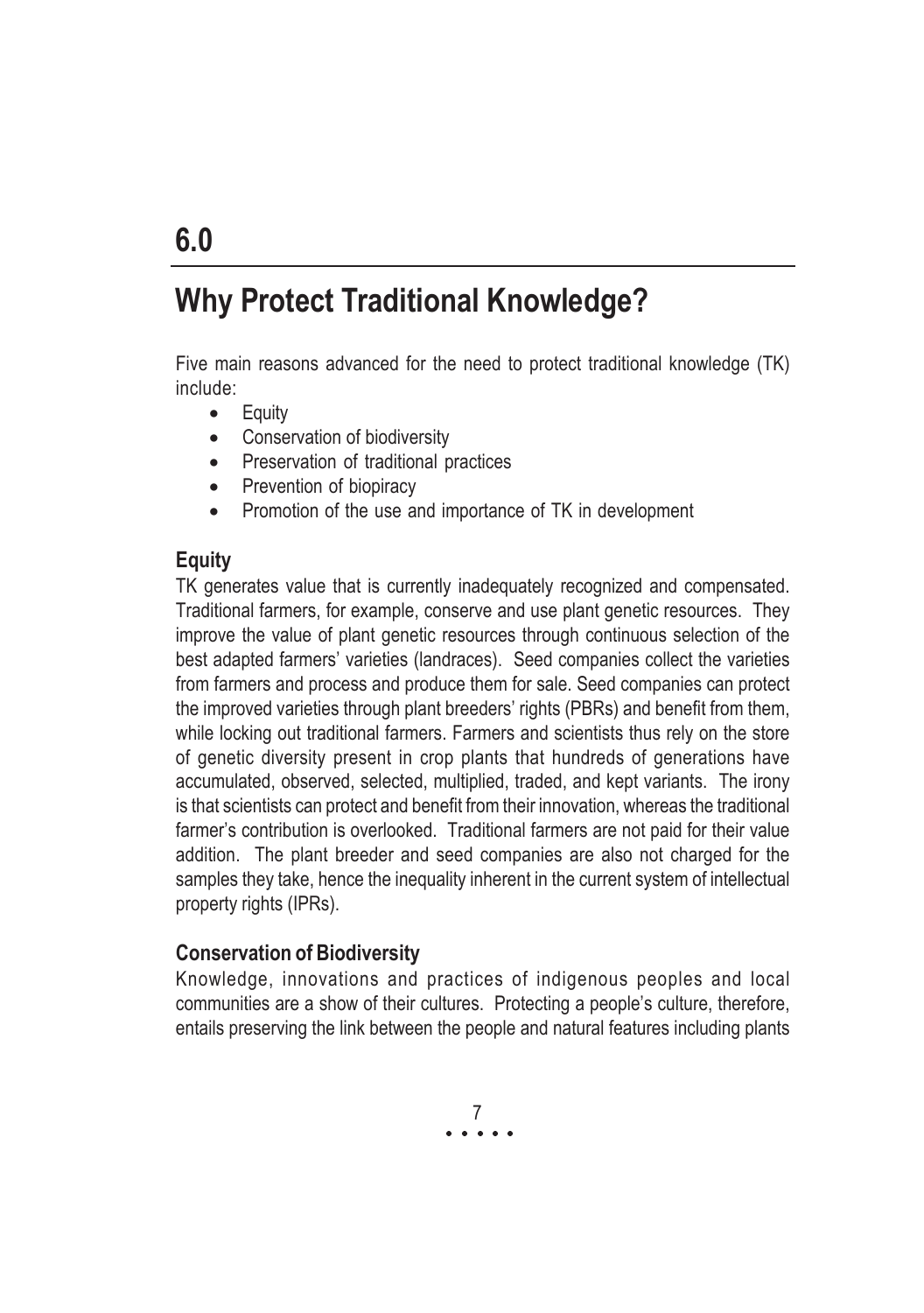### Why Protect Traditional Knowledge?

Five main reasons advanced for the need to protect traditional knowledge (TK) include:

- Equity
- Conservation of biodiversity
- Preservation of traditional practices
- Prevention of biopiracy
- Promotion of the use and importance of TK in development

#### Equity

TK generates value that is currently inadequately recognized and compensated. Traditional farmers, for example, conserve and use plant genetic resources. They improve the value of plant genetic resources through continuous selection of the best adapted farmers' varieties (landraces). Seed companies collect the varieties from farmers and process and produce them for sale. Seed companies can protect the improved varieties through plant breeders' rights (PBRs) and benefit from them, while locking out traditional farmers. Farmers and scientists thus rely on the store of genetic diversity present in crop plants that hundreds of generations have accumulated, observed, selected, multiplied, traded, and kept variants. The irony is that scientists can protect and benefit from their innovation, whereas the traditional farmer's contribution is overlooked. Traditional farmers are not paid for their value addition. The plant breeder and seed companies are also not charged for the samples they take, hence the inequality inherent in the current system of intellectual property rights (IPRs).

#### Conservation of Biodiversity

Knowledge, innovations and practices of indigenous peoples and local communities are a show of their cultures. Protecting a people's culture, therefore, entails preserving the link between the people and natural features including plants

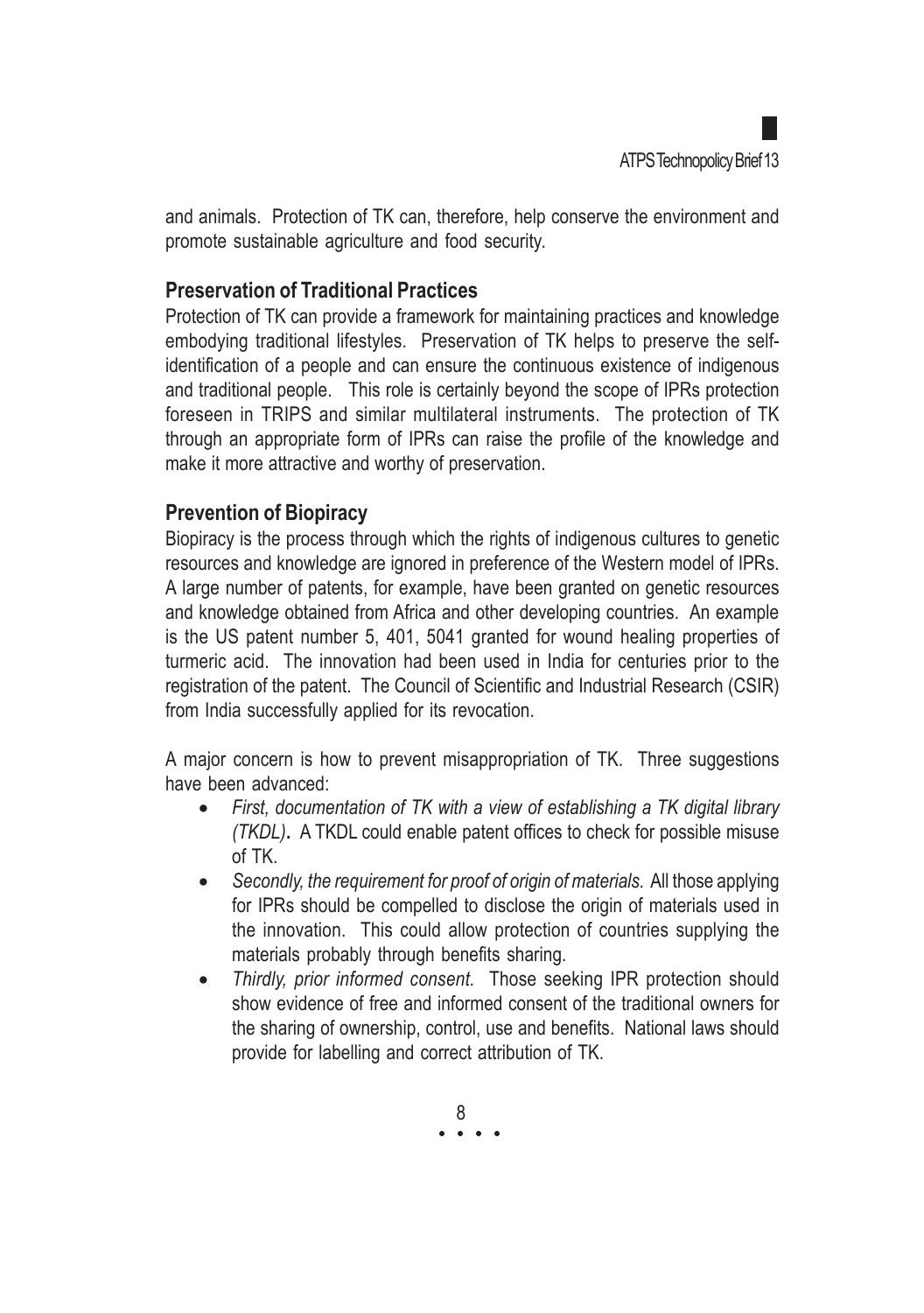and animals. Protection of TK can, therefore, help conserve the environment and promote sustainable agriculture and food security.

#### Preservation of Traditional Practices

Protection of TK can provide a framework for maintaining practices and knowledge embodying traditional lifestyles. Preservation of TK helps to preserve the selfidentification of a people and can ensure the continuous existence of indigenous and traditional people. This role is certainly beyond the scope of IPRs protection foreseen in TRIPS and similar multilateral instruments. The protection of TK through an appropriate form of IPRs can raise the profile of the knowledge and make it more attractive and worthy of preservation.

#### Prevention of Biopiracy

Biopiracy is the process through which the rights of indigenous cultures to genetic resources and knowledge are ignored in preference of the Western model of IPRs. A large number of patents, for example, have been granted on genetic resources and knowledge obtained from Africa and other developing countries. An example is the US patent number 5, 401, 5041 granted for wound healing properties of turmeric acid. The innovation had been used in India for centuries prior to the registration of the patent. The Council of Scientific and Industrial Research (CSIR) from India successfully applied for its revocation.

A major concern is how to prevent misappropriation of TK. Three suggestions have been advanced:

- First, documentation of TK with a view of establishing a TK digital library (TKDL). A TKDL could enable patent offices to check for possible misuse of TK.
- Secondly, the requirement for proof of origin of materials. All those applying for IPRs should be compelled to disclose the origin of materials used in the innovation. This could allow protection of countries supplying the materials probably through benefits sharing.
- Thirdly, prior informed consent. Those seeking IPR protection should show evidence of free and informed consent of the traditional owners for the sharing of ownership, control, use and benefits. National laws should provide for labelling and correct attribution of TK.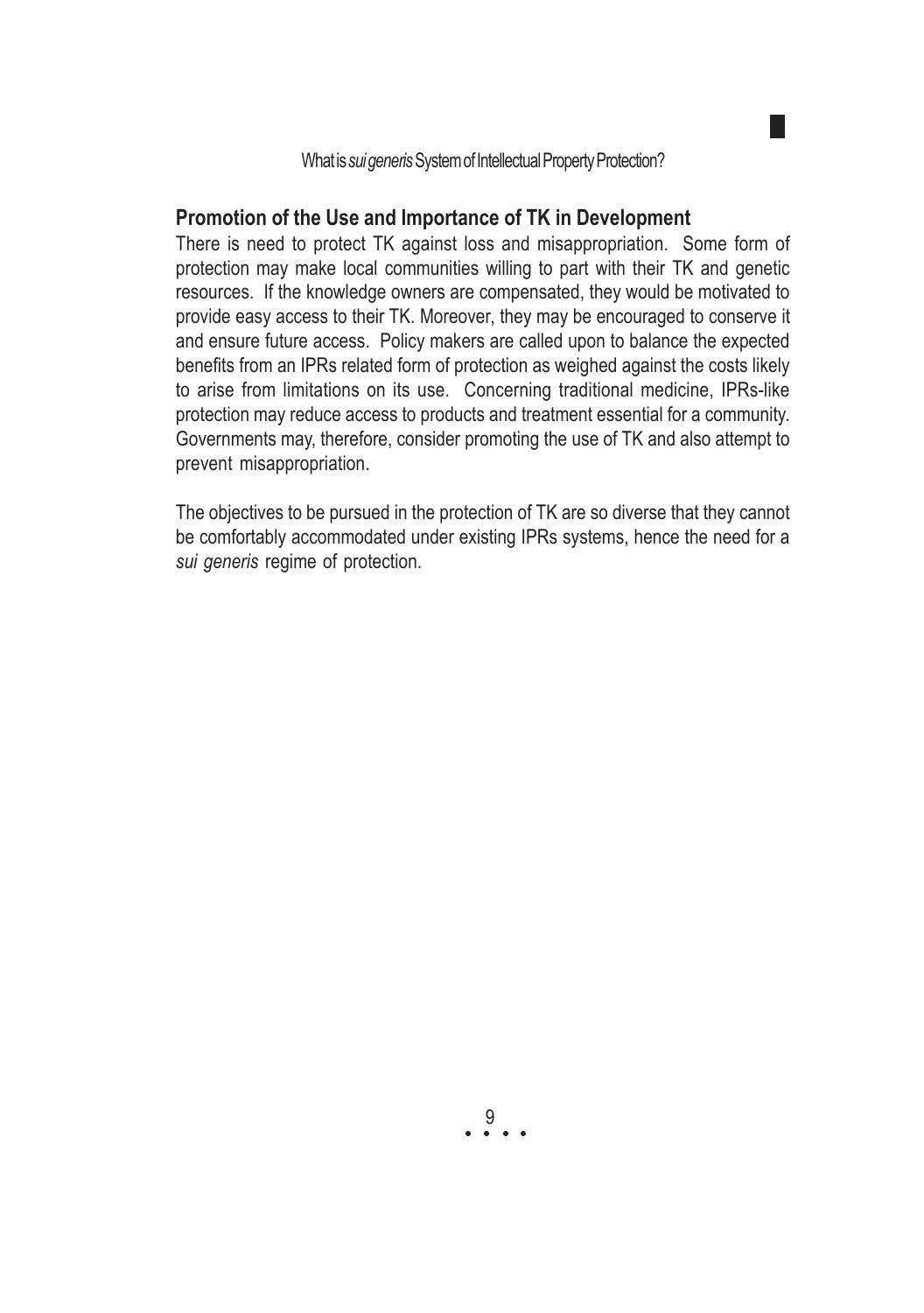#### Promotion of the Use and Importance of TK in Development

There is need to protect TK against loss and misappropriation. Some form of protection may make local communities willing to part with their TK and genetic resources. If the knowledge owners are compensated, they would be motivated to provide easy access to their TK. Moreover, they may be encouraged to conserve it and ensure future access. Policy makers are called upon to balance the expected benefits from an IPRs related form of protection as weighed against the costs likely to arise from limitations on its use. Concerning traditional medicine, IPRs-like protection may reduce access to products and treatment essential for a community. Governments may, therefore, consider promoting the use of TK and also attempt to prevent misappropriation.

The objectives to be pursued in the protection of TK are so diverse that they cannot be comfortably accommodated under existing IPRs systems, hence the need for a sui generis regime of protection.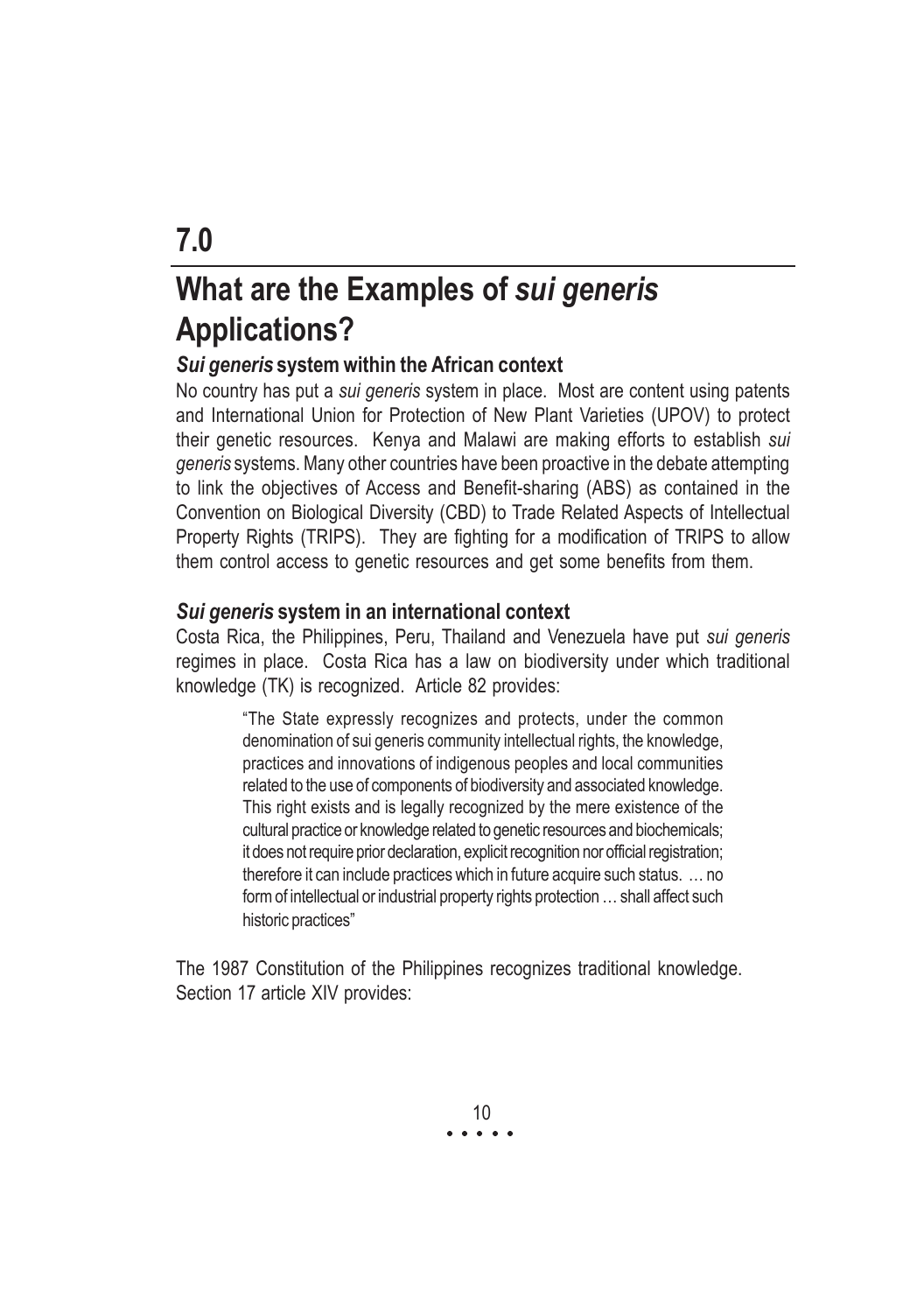# What are the Examples of sui generis Applications?

#### Sui generis system within the African context

No country has put a *sui generis* system in place. Most are content using patents and International Union for Protection of New Plant Varieties (UPOV) to protect their genetic resources. Kenya and Malawi are making efforts to establish sui generis systems. Many other countries have been proactive in the debate attempting to link the objectives of Access and Benefit-sharing (ABS) as contained in the Convention on Biological Diversity (CBD) to Trade Related Aspects of Intellectual Property Rights (TRIPS). They are fighting for a modification of TRIPS to allow them control access to genetic resources and get some benefits from them.

#### Sui generis system in an international context

Costa Rica, the Philippines, Peru, Thailand and Venezuela have put sui generis regimes in place. Costa Rica has a law on biodiversity under which traditional knowledge (TK) is recognized. Article 82 provides:

> "The State expressly recognizes and protects, under the common denomination of sui generis community intellectual rights, the knowledge, practices and innovations of indigenous peoples and local communities related to the use of components of biodiversity and associated knowledge. This right exists and is legally recognized by the mere existence of the cultural practice or knowledge related to genetic resources and biochemicals; it does not require prior declaration, explicit recognition nor official registration; therefore it can include practices which in future acquire such status. … no form of intellectual or industrial property rights protection … shall affect such historic practices"

The 1987 Constitution of the Philippines recognizes traditional knowledge. Section 17 article XIV provides:

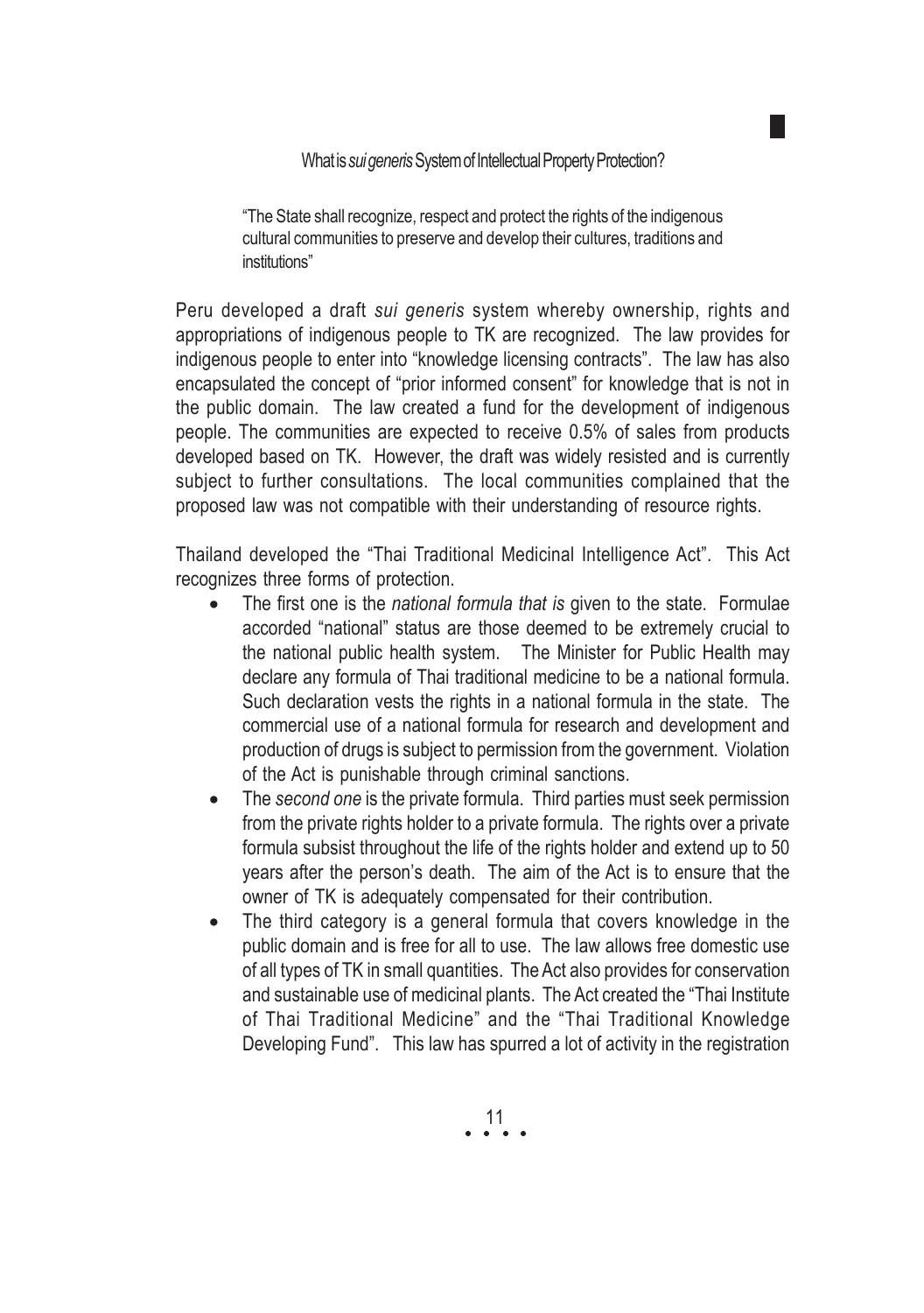What is sui generis System of Intellectual Property Protection?

"The State shall recognize, respect and protect the rights of the indigenous cultural communities to preserve and develop their cultures, traditions and institutions"

Peru developed a draft sui generis system whereby ownership, rights and appropriations of indigenous people to TK are recognized. The law provides for indigenous people to enter into "knowledge licensing contracts". The law has also encapsulated the concept of "prior informed consent" for knowledge that is not in the public domain. The law created a fund for the development of indigenous people. The communities are expected to receive 0.5% of sales from products developed based on TK. However, the draft was widely resisted and is currently subject to further consultations. The local communities complained that the proposed law was not compatible with their understanding of resource rights.

Thailand developed the "Thai Traditional Medicinal Intelligence Act". This Act recognizes three forms of protection.

- The first one is the national formula that is given to the state. Formulae accorded "national" status are those deemed to be extremely crucial to the national public health system. The Minister for Public Health may declare any formula of Thai traditional medicine to be a national formula. Such declaration vests the rights in a national formula in the state. The commercial use of a national formula for research and development and production of drugs is subject to permission from the government. Violation of the Act is punishable through criminal sanctions.
- The second one is the private formula. Third parties must seek permission from the private rights holder to a private formula. The rights over a private formula subsist throughout the life of the rights holder and extend up to 50 years after the person's death. The aim of the Act is to ensure that the owner of TK is adequately compensated for their contribution.
- The third category is a general formula that covers knowledge in the public domain and is free for all to use. The law allows free domestic use of all types of TK in small quantities. The Act also provides for conservation and sustainable use of medicinal plants. The Act created the "Thai Institute of Thai Traditional Medicine" and the "Thai Traditional Knowledge Developing Fund". This law has spurred a lot of activity in the registration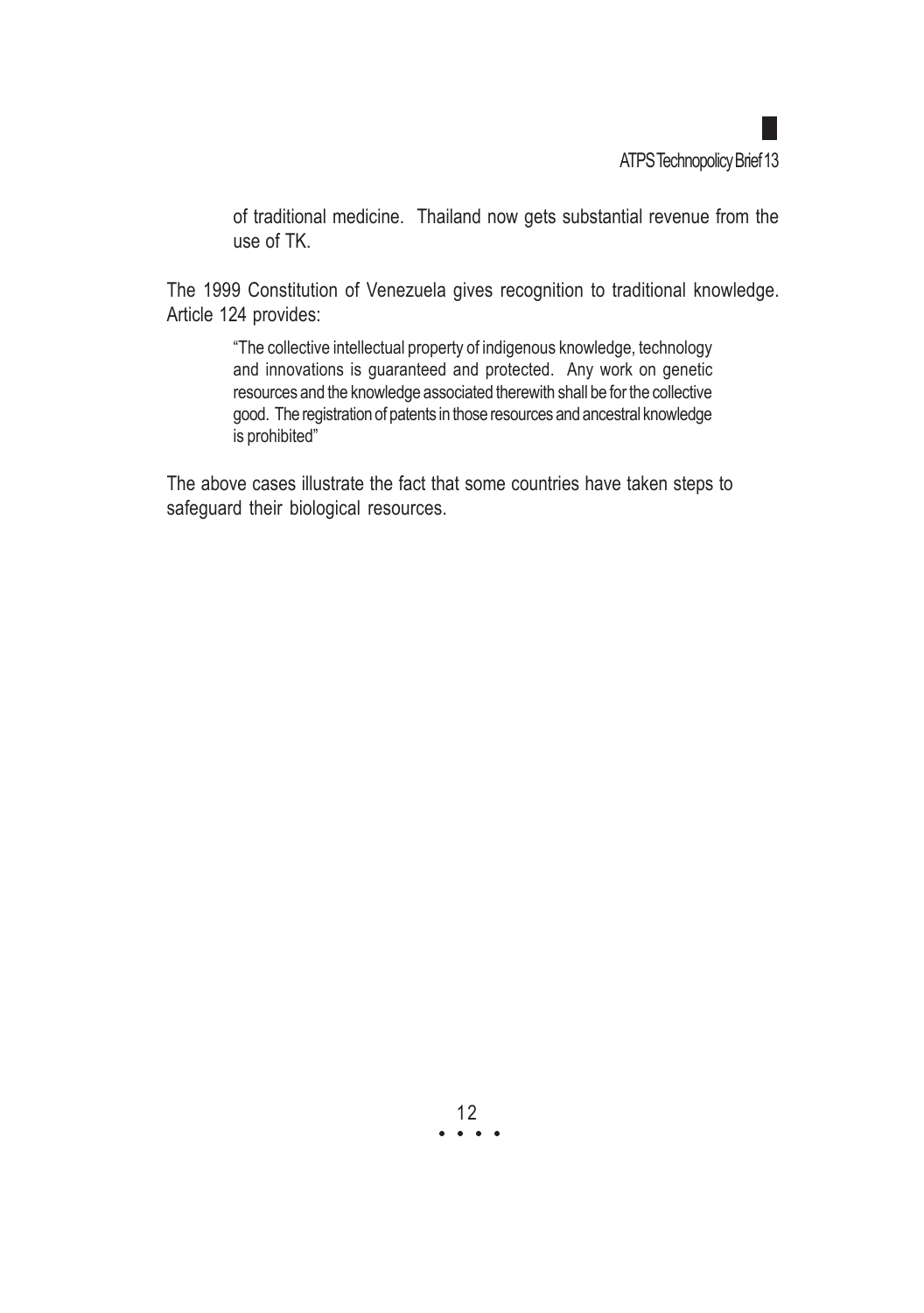of traditional medicine. Thailand now gets substantial revenue from the use of TK.

The 1999 Constitution of Venezuela gives recognition to traditional knowledge. Article 124 provides:

> "The collective intellectual property of indigenous knowledge, technology and innovations is guaranteed and protected. Any work on genetic resources and the knowledge associated therewith shall be for the collective good. The registration of patents in those resources and ancestral knowledge is prohibited"

The above cases illustrate the fact that some countries have taken steps to safeguard their biological resources.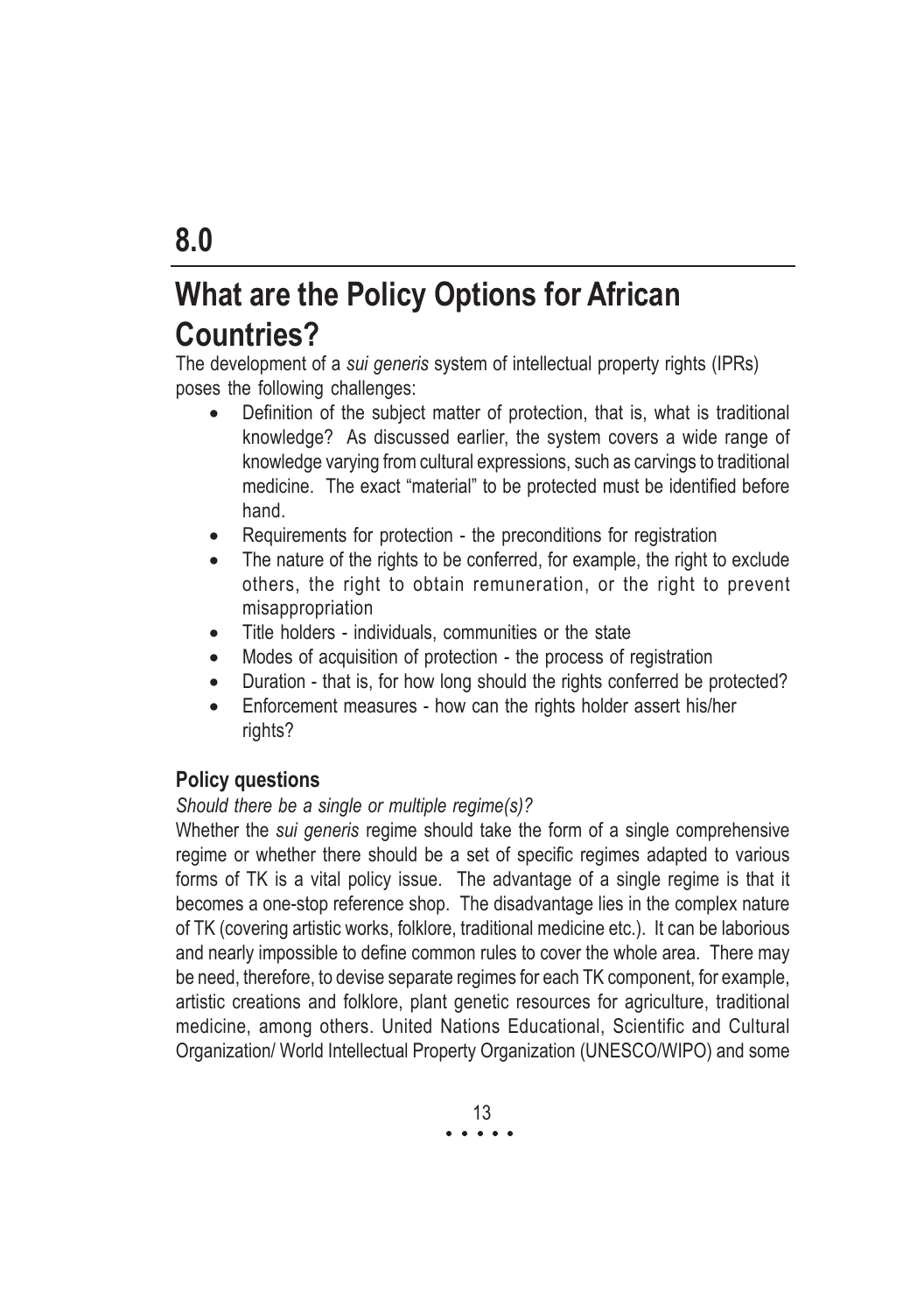# What are the Policy Options for African Countries?

The development of a sui generis system of intellectual property rights (IPRs) poses the following challenges:

- Definition of the subject matter of protection, that is, what is traditional knowledge? As discussed earlier, the system covers a wide range of knowledge varying from cultural expressions, such as carvings to traditional medicine. The exact "material" to be protected must be identified before hand.
- Requirements for protection the preconditions for registration
- The nature of the rights to be conferred, for example, the right to exclude others, the right to obtain remuneration, or the right to prevent misappropriation
- Title holders individuals, communities or the state
- Modes of acquisition of protection the process of registration
- Duration that is, for how long should the rights conferred be protected?
- Enforcement measures how can the rights holder assert his/her rights?

#### Policy questions

#### Should there be a single or multiple regime(s)?

Whether the *sui generis* regime should take the form of a single comprehensive regime or whether there should be a set of specific regimes adapted to various forms of TK is a vital policy issue. The advantage of a single regime is that it becomes a one-stop reference shop. The disadvantage lies in the complex nature of TK (covering artistic works, folklore, traditional medicine etc.). It can be laborious and nearly impossible to define common rules to cover the whole area. There may be need, therefore, to devise separate regimes for each TK component, for example, artistic creations and folklore, plant genetic resources for agriculture, traditional medicine, among others. United Nations Educational, Scientific and Cultural Organization/ World Intellectual Property Organization (UNESCO/WIPO) and some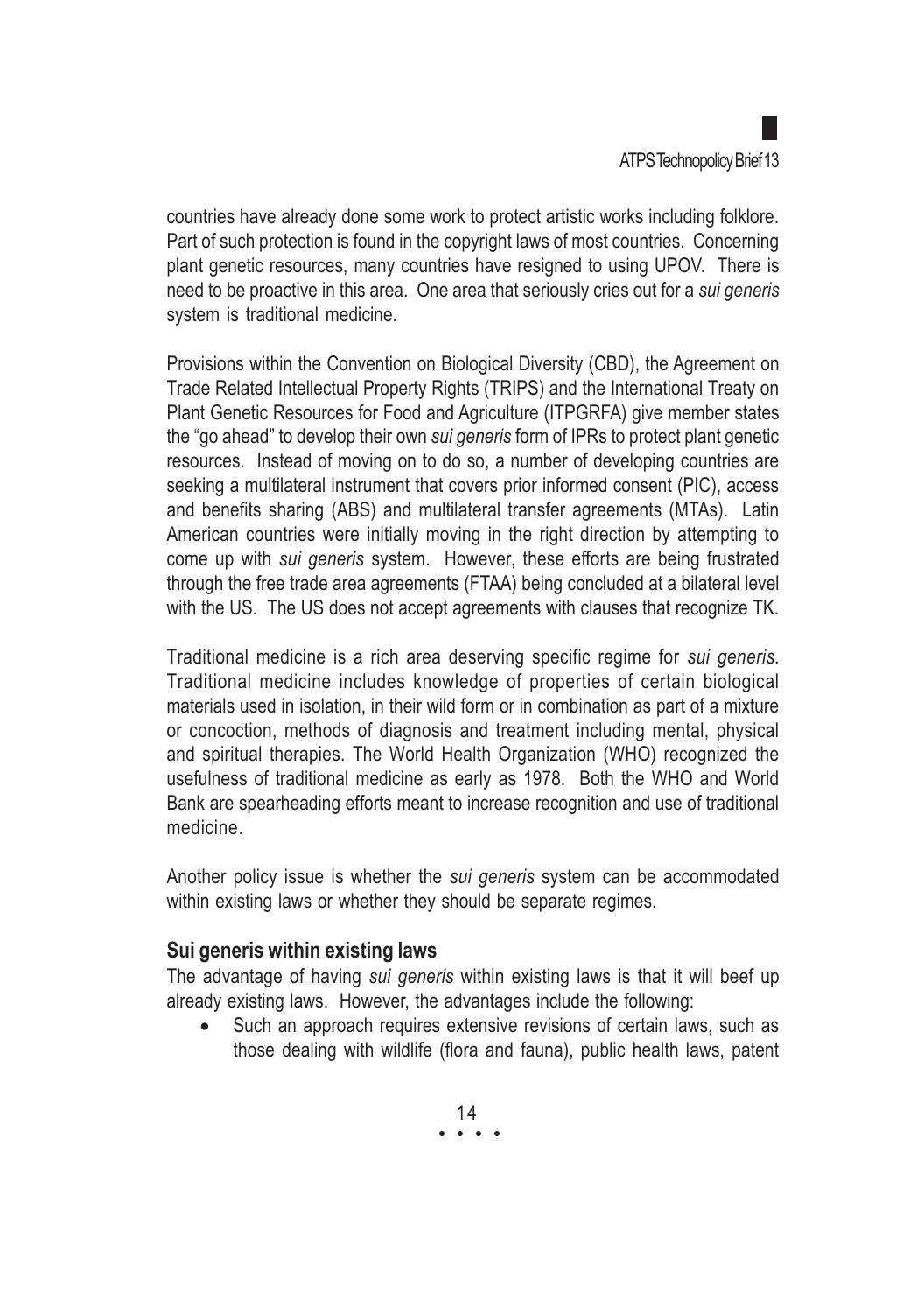countries have already done some work to protect artistic works including folklore. Part of such protection is found in the copyright laws of most countries. Concerning plant genetic resources, many countries have resigned to using UPOV. There is need to be proactive in this area. One area that seriously cries out for a sui generis system is traditional medicine.

Provisions within the Convention on Biological Diversity (CBD), the Agreement on Trade Related Intellectual Property Rights (TRIPS) and the International Treaty on Plant Genetic Resources for Food and Agriculture (ITPGRFA) give member states the "go ahead" to develop their own sui generis form of IPRs to protect plant genetic resources. Instead of moving on to do so, a number of developing countries are seeking a multilateral instrument that covers prior informed consent (PIC), access and benefits sharing (ABS) and multilateral transfer agreements (MTAs). Latin American countries were initially moving in the right direction by attempting to come up with sui generis system. However, these efforts are being frustrated through the free trade area agreements (FTAA) being concluded at a bilateral level with the US. The US does not accept agreements with clauses that recognize TK.

Traditional medicine is a rich area deserving specific regime for sui generis. Traditional medicine includes knowledge of properties of certain biological materials used in isolation, in their wild form or in combination as part of a mixture or concoction, methods of diagnosis and treatment including mental, physical and spiritual therapies. The World Health Organization (WHO) recognized the usefulness of traditional medicine as early as 1978. Both the WHO and World Bank are spearheading efforts meant to increase recognition and use of traditional medicine.

Another policy issue is whether the sui generis system can be accommodated within existing laws or whether they should be separate regimes.

#### Sui generis within existing laws

The advantage of having sui generis within existing laws is that it will beef up already existing laws. However, the advantages include the following:

• Such an approach requires extensive revisions of certain laws, such as those dealing with wildlife (flora and fauna), public health laws, patent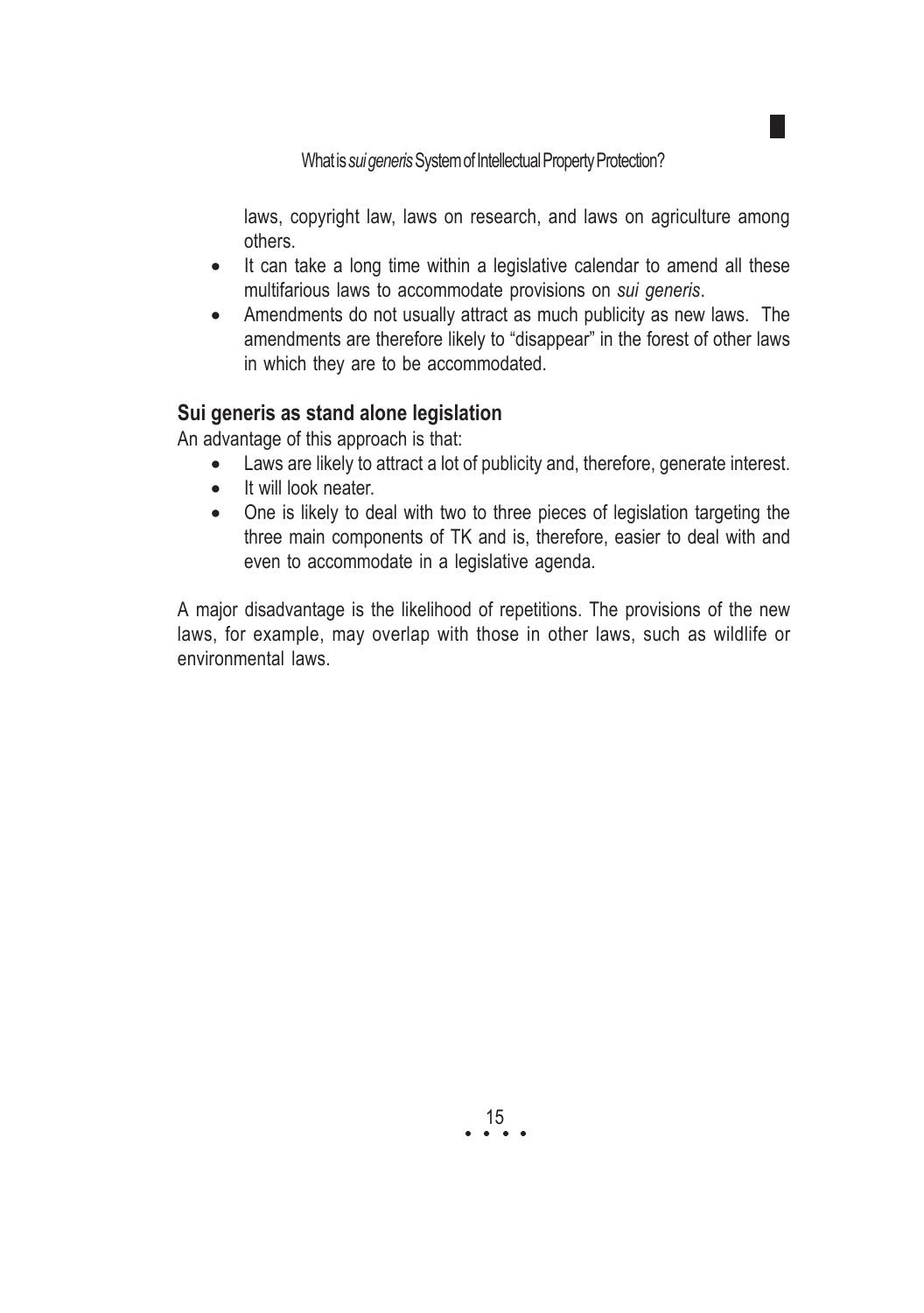What is sui generis System of Intellectual Property Protection?

laws, copyright law, laws on research, and laws on agriculture among others.

- It can take a long time within a legislative calendar to amend all these multifarious laws to accommodate provisions on sui generis.
- Amendments do not usually attract as much publicity as new laws. The amendments are therefore likely to "disappear" in the forest of other laws in which they are to be accommodated.

#### Sui generis as stand alone legislation

An advantage of this approach is that:

- Laws are likely to attract a lot of publicity and, therefore, generate interest.
- It will look neater.
- One is likely to deal with two to three pieces of legislation targeting the three main components of TK and is, therefore, easier to deal with and even to accommodate in a legislative agenda.

A major disadvantage is the likelihood of repetitions. The provisions of the new laws, for example, may overlap with those in other laws, such as wildlife or environmental laws.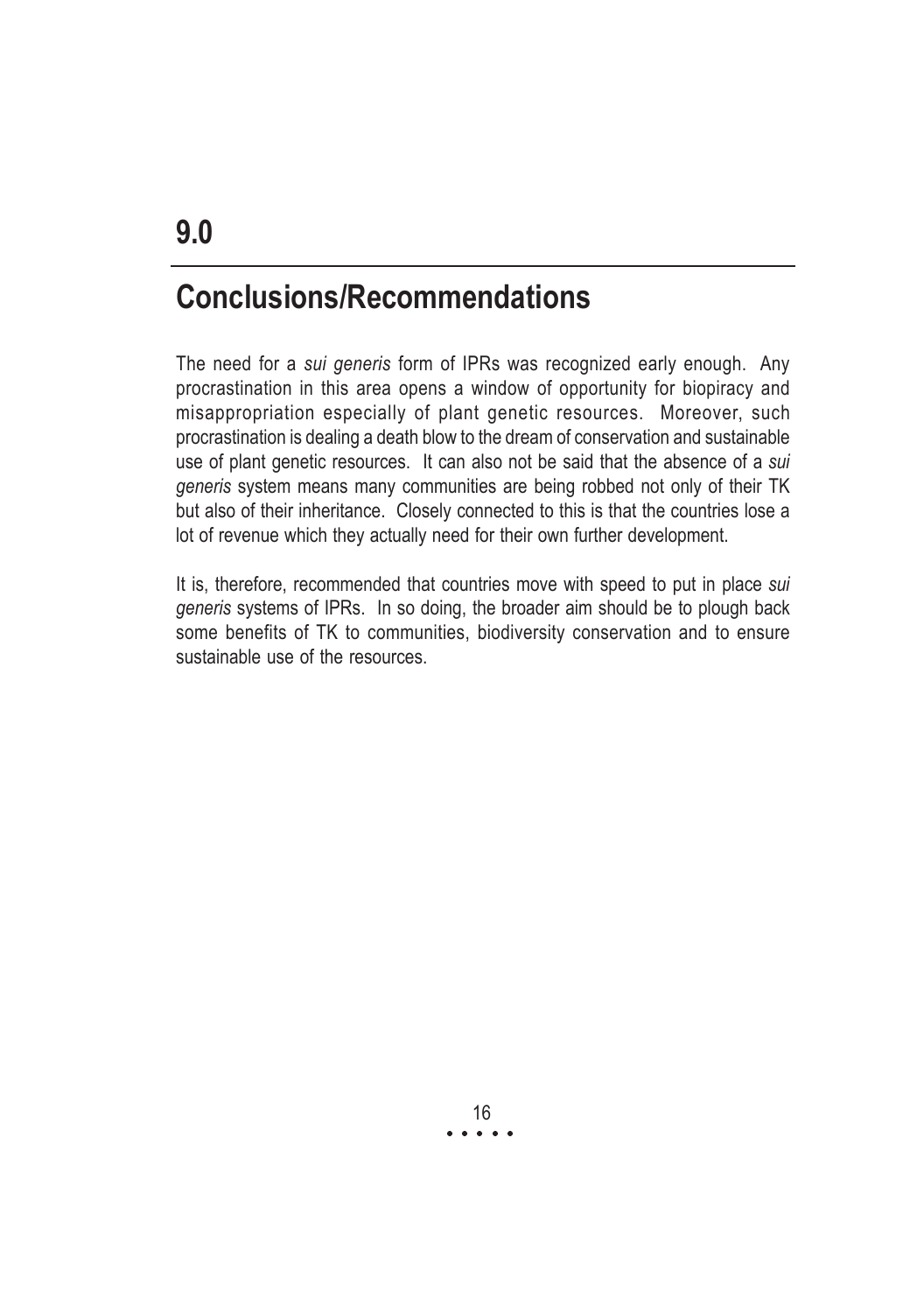### Conclusions/Recommendations

The need for a sui generis form of IPRs was recognized early enough. Any procrastination in this area opens a window of opportunity for biopiracy and misappropriation especially of plant genetic resources. Moreover, such procrastination is dealing a death blow to the dream of conservation and sustainable use of plant genetic resources. It can also not be said that the absence of a sui generis system means many communities are being robbed not only of their TK but also of their inheritance. Closely connected to this is that the countries lose a lot of revenue which they actually need for their own further development.

It is, therefore, recommended that countries move with speed to put in place sui generis systems of IPRs. In so doing, the broader aim should be to plough back some benefits of TK to communities, biodiversity conservation and to ensure sustainable use of the resources.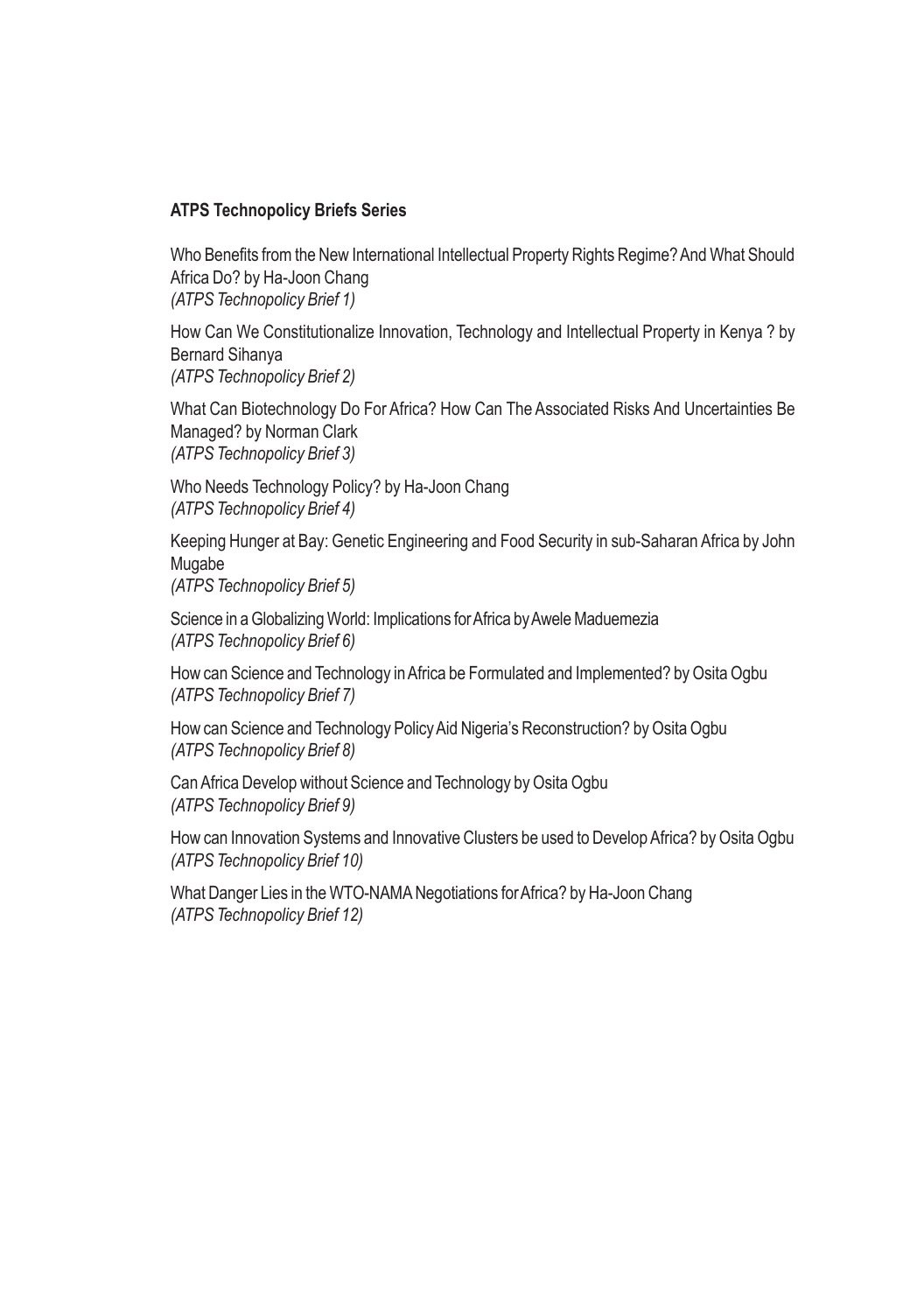#### ATPS Technopolicy Briefs Series

Who Benefits from the New International Intellectual Property Rights Regime? And What Should Africa Do? by Ha-Joon Chang (ATPS Technopolicy Brief 1)

How Can We Constitutionalize Innovation, Technology and Intellectual Property in Kenya ? by Bernard Sihanya (ATPS Technopolicy Brief 2)

What Can Biotechnology Do For Africa? How Can The Associated Risks And Uncertainties Be Managed? by Norman Clark (ATPS Technopolicy Brief 3)

Who Needs Technology Policy? by Ha-Joon Chang (ATPS Technopolicy Brief 4)

Keeping Hunger at Bay: Genetic Engineering and Food Security in sub-Saharan Africa by John Mugabe

(ATPS Technopolicy Brief 5)

Science in a Globalizing World: Implications for Africa by Awele Maduemezia (ATPS Technopolicy Brief 6)

How can Science and Technology in Africa be Formulated and Implemented? by Osita Ogbu (ATPS Technopolicy Brief 7)

How can Science and Technology Policy Aid Nigeria's Reconstruction? by Osita Ogbu (ATPS Technopolicy Brief 8)

Can Africa Develop without Science and Technology by Osita Ogbu (ATPS Technopolicy Brief 9)

How can Innovation Systems and Innovative Clusters be used to Develop Africa? by Osita Ogbu (ATPS Technopolicy Brief 10)

What Danger Lies in the WTO-NAMA Negotiations for Africa? by Ha-Joon Chang (ATPS Technopolicy Brief 12)